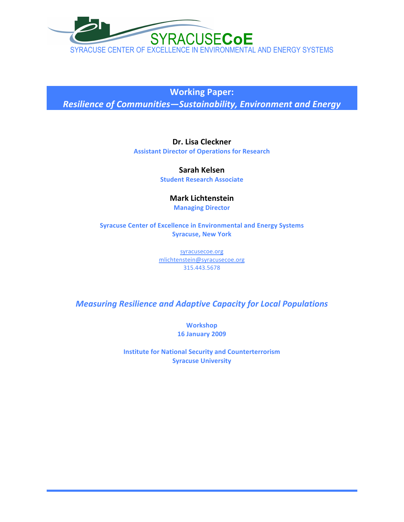

**Working
Paper:**

*Resilience
of
Communities—Sustainability,
Environment
and
Energy*

**Dr.
Lisa
Cleckner**

**Assistant
Director
of
Operations
for
Research**

**Sarah
Kelsen Student
Research
Associate**

# **Mark
Lichtenstein**

**Managing
Director**

**Syracuse
Center
of
Excellence
in
Environmental
and
Energy
Systems Syracuse,
New
York**

> syracusecoe.org mlichtenstein@syracusecoe.org 315.443.5678

*Measuring
Resilience
and
Adaptive
Capacity
for
Local
Populations*

**Workshop 16
January
2009**

**Institute
for
National
Security
and
Counterterrorism Syracuse
University**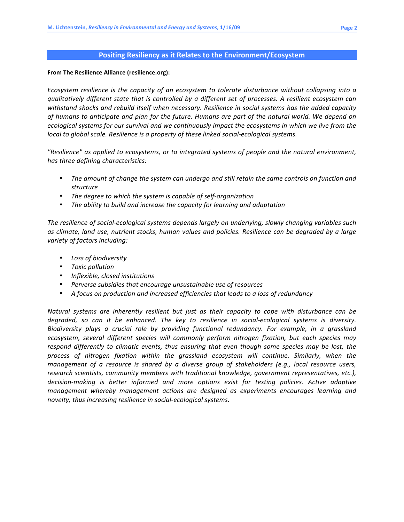### Positing Resiliency as it Relates to the Environment/Ecosystem

### **From
The
Resilience
Alliance
(resilience.org):**

Ecosystem resilience is the capacity of an ecosystem to tolerate disturbance without collapsing into a qualitatively different state that is controlled by a different set of processes. A resilient ecosystem can withstand shocks and rebuild itself when necessary. Resilience in social systems has the added capacity of humans to anticipate and plan for the future. Humans are part of the natural world. We depend on ecological systems for our survival and we continuously impact the ecosystems in which we live from the local to global scale. Resilience is a property of these linked social-ecological systems.

"Resilience" as applied to ecosystems, or to integrated systems of people and the natural environment, *has
three
defining
characteristics:*

- The amount of change the system can undergo and still retain the same controls on function and *structure*
- *The
degree
to
which
the
system
is
capable
of
self‐organization*
- The ability to build and increase the capacity for learning and adaptation

The resilience of social-ecological systems depends largely on underlying, slowly changing variables such as climate, land use, nutrient stocks, human values and policies. Resilience can be degraded by a large *variety
of
factors
including:*

- *Loss
of
biodiversity*
- *Toxic
pollution*
- *Inflexible,
closed
institutions*
- Perverse subsidies that encourage unsustainable use of resources
- A focus on production and increased efficiencies that leads to a loss of redundancy

Natural systems are inherently resilient but just as their capacity to cope with disturbance can be degraded, so can it be enhanced. The key to resilience in social-ecological systems is diversity. Biodiversity plays a crucial role by providing functional redundancy. For example, in a grassland ecosystem, several different species will commonly perform nitrogen fixation, but each species may respond differently to climatic events, thus ensuring that even though some species may be lost, the process of nitrogen fixation within the grassland ecosystem will continue. Similarly, when the management of a resource is shared by a diverse group of stakeholders (e.g., local resource users, research scientists, community members with traditional knowledge, government representatives, etc.), *decision‐making
 is
 better
 informed
 and
 more
 options
 exist
 for
 testing
 policies. Active
 adaptive*  management whereby management actions are designed as experiments encourages learning and novelty, thus increasing resilience in social-ecological systems.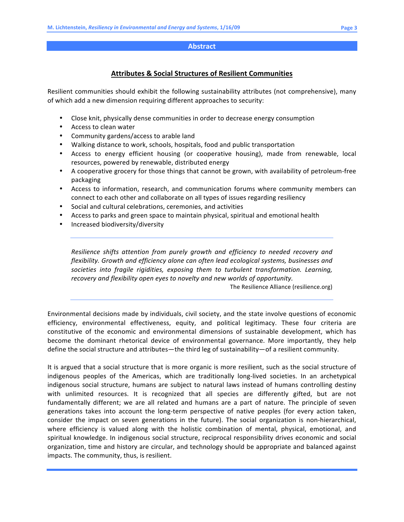### **Abstract**

## **Attributes
&
Social
Structures
of
Resilient
Communities**

Resilient communities should exhibit the following sustainability attributes (not comprehensive), many of
which
add
a
new
dimension
requiring
different
approaches
to
security:

- Close knit, physically dense communities in order to decrease energy consumption
- Access to clean water
- Community
gardens/access
to
arable
land
- Walking distance to work, schools, hospitals, food and public transportation
- Access to energy efficient housing (or cooperative housing), made from renewable, local resources,
powered
by
renewable,
distributed
energy
- A cooperative grocery for those things that cannot be grown, with availability of petroleum-free packaging
- Access to information, research, and communication forums where community members can connect
to
each
other
and
collaborate
on
all
types
of
issues
regarding
resiliency
- Social
and
cultural
celebrations,
ceremonies,
and
activities
- Access to parks and green space to maintain physical, spiritual and emotional health
- Increased
biodiversity/diversity

Resilience shifts attention from purely growth and efficiency to needed recovery and *flexibility.
Growth
and
efficiency
alone
can
often
lead
ecological
systems,
businesses
and*  societies into fragile rigidities, exposing them to turbulent transformation. Learning, recovery and flexibility open eyes to novelty and new worlds of opportunity.

The
Resilience
Alliance
(resilience.org)

Environmental
decisions
made
by
individuals,
civil
society,
and
the
state
involve
questions
of
economic efficiency, environmental effectiveness, equity, and political legitimacy. These four criteria are constitutive of the economic and environmental dimensions of sustainable development, which has become the dominant rhetorical device of environmental governance. More importantly, they help define
the
social
structure
and
attributes—the
third
leg
of
sustainability—of
a
resilient
community.

It is argued that a social structure that is more organic is more resilient, such as the social structure of indigenous peoples of the Americas, which are traditionally long-lived societies. In an archetypical indigenous social structure, humans are subiect to natural laws instead of humans controlling destiny with unlimited resources. It is recognized that all species are differently gifted, but are not fundamentally different; we are all related and humans are a part of nature. The principle of seven generations takes into account the long-term perspective of native peoples (for every action taken, consider the impact on seven generations in the future). The social organization is non-hierarchical, where efficiency is valued along with the holistic combination of mental, physical, emotional, and spiritual knowledge. In indigenous social structure, reciprocal responsibility drives economic and social organization,
time
and
history
are
circular,
and
technology
should
be
appropriate
and
balanced
against impacts.
The
community,
thus,
is
resilient.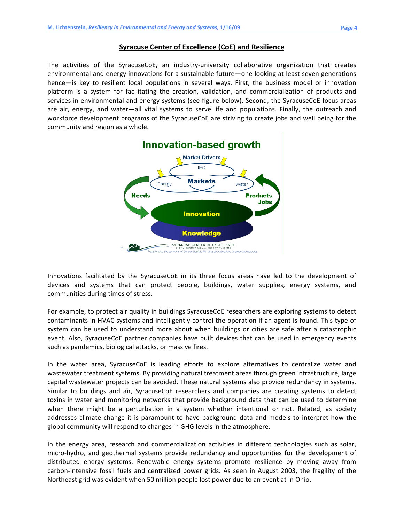### **Syracuse Center of Excellence (CoE) and Resilience**

The activities of the SyracuseCoE, an industry-university collaborative organization that creates environmental and energy innovations for a sustainable future—one looking at least seven generations hence—is key to resilient local populations in several ways. First, the business model or innovation platform is a system for facilitating the creation, validation, and commercialization of products and services in environmental and energy systems (see figure below). Second, the SyracuseCoE focus areas are air, energy, and water—all vital systems to serve life and populations. Finally, the outreach and workforce development programs of the SyracuseCoE are striving to create jobs and well being for the community
and
region
as
a
whole.



Innovations facilitated by the SyracuseCoE in its three focus areas have led to the development of devices and systems that can protect people, buildings, water supplies, energy systems, and communities
during
times
of
stress.

For example, to protect air quality in buildings SyracuseCoE researchers are exploring systems to detect contaminants in HVAC systems and intelligently control the operation if an agent is found. This type of system can be used to understand more about when buildings or cities are safe after a catastrophic event. Also, SyracuseCoE partner companies have built devices that can be used in emergency events such
as
pandemics,
biological
attacks,
or
massive
fires.

In the water area, SyracuseCoE is leading efforts to explore alternatives to centralize water and wastewater treatment systems. By providing natural treatment areas through green infrastructure, large capital
wastewater
projects
can
be
avoided.
These
natural
systems
also
provide
redundancy
in
systems. Similar to buildings and air, SyracuseCoE researchers and companies are creating systems to detect toxins in water and monitoring networks that provide background data that can be used to determine when there might be a perturbation in a system whether intentional or not. Related, as society addresses climate change it is paramount to have background data and models to interpret how the global
community
will
respond
to
changes
in
GHG
levels
in
the
atmosphere.

In the energy area, research and commercialization activities in different technologies such as solar, micro-hydro, and geothermal systems provide redundancy and opportunities for the development of distributed energy systems. Renewable energy systems promote resilience by moving away from carbon-intensive fossil fuels and centralized power grids. As seen in August 2003, the fragility of the Northeast grid was evident when 50 million people lost power due to an event at in Ohio.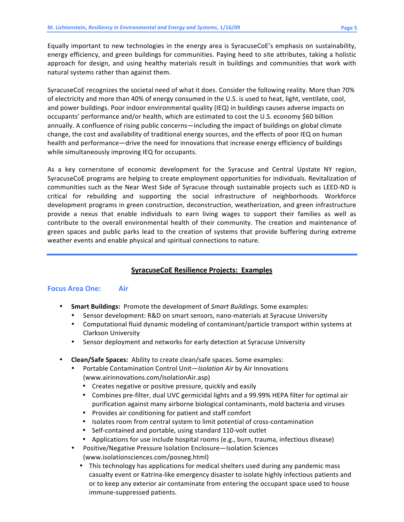Equally important to new technologies in the energy area is SyracuseCoE's emphasis on sustainability, energy efficiency, and green buildings for communities. Paying heed to site attributes, taking a holistic approach for design, and using healthy materials result in buildings and communities that work with natural
systems
rather
than
against
them.

SyracuseCoE recognizes the societal need of what it does. Consider the following reality. More than 70% of
electricity
and
more
than
40%
of
energy
consumed
in
the
U.S.
is
used
to
heat,
light,
ventilate,
cool, and power buildings. Poor indoor environmental quality (IEQ) in buildings causes adverse impacts on occupants' performance and/or health, which are estimated to cost the U.S. economy \$60 billion annually. A confluence of rising public concerns—including the impact of buildings on global climate change, the cost and availability of traditional energy sources, and the effects of poor IEQ on human health and performance—drive the need for innovations that increase energy efficiency of buildings while simultaneously improving IEQ for occupants.

As a key cornerstone of economic development for the Syracuse and Central Upstate NY region, SyracuseCoE programs are helping to create employment opportunities for individuals. Revitalization of communities such as the Near West Side of Syracuse through sustainable projects such as LEED-ND is critical
 for
 rebuilding
 and
 supporting
 the
 social
 infrastructure
 of
 neighborhoods.
 Workforce development
programs
in
green
construction,
deconstruction,
weatherization,
and
green
infrastructure provide a nexus that enable individuals to earn living wages to support their families as well as contribute to the overall environmental health of their community. The creation and maintenance of green spaces and public parks lead to the creation of systems that provide buffering during extreme weather
events
and
enable
physical
and
spiritual
connections
to
nature.

## **SyracuseCoE
Resilience
Projects:

Examples**

## **Focus
Area
One: Air**

- **Smart Buildings:** Promote the development of *Smart Buildings*. Some examples:
	- Sensor development: R&D on smart sensors, nano-materials at Syracuse University
	- Computational fluid dynamic modeling of contaminant/particle transport within systems at Clarkson
	University
	- Sensor deployment and networks for early detection at Syracuse University
- Clean/Safe Spaces: Ability to create clean/safe spaces. Some examples:
	- Portable Contamination Control Unit-Isolation Air by Air Innovations (www.airinnovations.com/IsolationAir.asp)
		- Creates negative or positive pressure, quickly and easily
		- Combines pre-filter, dual UVC germicidal lights and a 99.99% HEPA filter for optimal air purification
		against
		many
		airborne
		biological
		contaminants,
		mold
		bacteria
		and
		viruses
		- Provides
		air
		conditioning
		for
		patient
		and
		staff
		comfort
		- Isolates room from central system to limit potential of cross-contamination
		- Self-contained and portable, using standard 110-volt outlet
		- Applications for use include hospital rooms (e.g., burn, trauma, infectious disease)
	- Positive/Negative Pressure Isolation Enclosure–Isolation Sciences (www.isolationsciences.com/posneg.html)
		- This technology has applications for medical shelters used during any pandemic mass casualty
		event
		or
		Katrina‐like
		emergency
		disaster
		to
		isolate
		highly
		infectious
		patients
		and or
		to
		keep
		any
		exterior
		air
		contaminate
		from
		entering
		the
		occupant
		space
		used
		to
		house immune‐suppressed
		patients.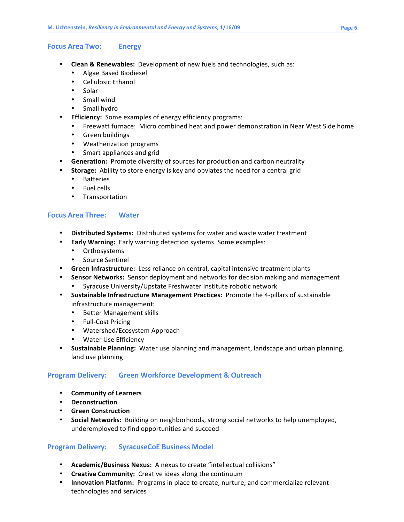### **Focus
Area
Two: Energy**

- Clean & Renewables: Development of new fuels and technologies, such as:
	- Algae
	Based
	Biodiesel
	- Cellulosic
	Ethanol
	- Solar
	- Small
	wind
	- Small
	hydro
- **•** Efficiency: Some examples of energy efficiency programs:
	- Freewatt furnace: Micro combined heat and power demonstration in Near West Side home
	- Green
	buildings
	- Weatherization
	programs
	- Smart appliances and grid
- **Generation:** Promote diversity of sources for production and carbon neutrality
- Storage: Ability to store energy is key and obviates the need for a central grid
	- Batteries
	- Fuel
	cells
	- Transportation

## **Focus
Area
Three: Water**

- Distributed Systems: Distributed systems for water and waste water treatment
- Early Warning: Early warning detection systems. Some examples:
	- Orthosystems
	- Source
	Sentinel
- Green Infrastructure: Less reliance on central, capital intensive treatment plants
- **Sensor Networks:** Sensor deployment and networks for decision making and management
	- Syracuse
	University/Upstate
	Freshwater
	Institute
	robotic
	network
- **Sustainable Infrastructure Management Practices:** Promote the 4-pillars of sustainable infrastructure
management:
	- Better
	Management
	skills
	- Full-Cost Pricing
	- Watershed/Ecosystem
	Approach
	- Water
	Use
	Efficiency
- **Sustainable Planning:** Water use planning and management, landscape and urban planning, land
use
planning

# **Program
Delivery: Green
Workforce
Development
&
Outreach**

- **Community
of
Learners**
- **Deconstruction**
- **Green
Construction**
- Social Networks: Building on neighborhoods, strong social networks to help unemployed, underemployed
to
find
opportunities
and
succeed

## **Program
Delivery: SyracuseCoE
Business
Model**

- Academic/Business Nexus: A nexus to create "intellectual collisions"
- **Creative Community:** Creative ideas along the continuum
- **Innovation Platform:** Programs in place to create, nurture, and commercialize relevant technologies
and
services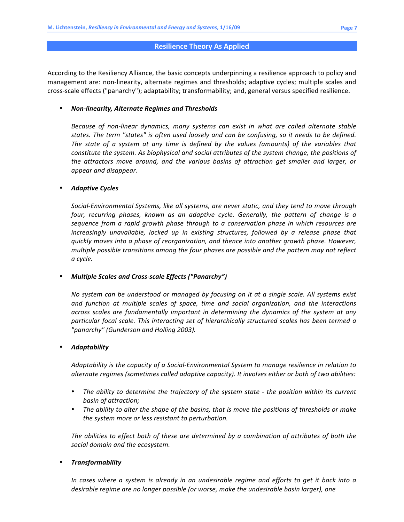#### **Resilience
Theory
As
Applied**

According to the Resiliency Alliance, the basic concepts underpinning a resilience approach to policy and management are: non-linearity, alternate regimes and thresholds; adaptive cycles; multiple scales and cross-scale effects ("panarchy"); adaptability; transformability; and, general versus specified resilience.

#### • *Non‐linearity,
Alternate
Regimes
and
Thresholds*

Because of non-linear dynamics, many systems can exist in what are called alternate stable states. The term "states" is often used loosely and can be confusing, so it needs to be defined. The state of a system at any time is defined by the values (amounts) of the variables that constitute the system. As biophysical and social attributes of the system change, the positions of the attractors move around, and the various basins of attraction get smaller and larger, or *appear
and
disappear.*

### • *Adaptive
Cycles*

*Social‐Environmental
Systems,
like
all
systems,
are
never
static,
and
they
tend
to
move
through*  four, recurring phases, known as an adaptive cycle. Generally, the pattern of change is a sequence from a rapid growth phase through to a conservation phase in which resources are increasingly unavailable, locked up in existing structures, followed by a release phase that quickly moves into a phase of reorganization, and thence into another growth phase. However, multiple possible transitions among the four phases are possible and the pattern may not reflect *a
cycle.*

### • *Multiple
Scales
and
Cross‐scale
Effects
("Panarchy")*

No system can be understood or managed by focusing on it at a single scale. All systems exist and function at multiple scales of space, time and social organization, and the interactions across scales are fundamentally important in determining the dynamics of the system at any particular focal scale. This interacting set of hierarchically structured scales has been termed a *"panarchy"
(Gunderson
and
Holling
2003).*

### • *Adaptability*

Adaptability is the capacity of a Social-Environmental System to manage resilience in relation to *alternate
regimes
(sometimes
called
adaptive
capacity).
It
involves
either
or
both
of
two
abilities:*

- The ability to determine the trajectory of the system state the position within its current *basin
of
attraction;*
- The ability to alter the shape of the basins, that is move the positions of thresholds or make *the
system
more
or
less
resistant
to
perturbation.*

The abilities to effect both of these are determined by a combination of attributes of both the *social
domain
and
the
ecosystem.*

### • *Transformability*

In cases where a system is already in an undesirable regime and efforts to get it back into a desirable regime are no longer possible (or worse, make the undesirable basin larger), one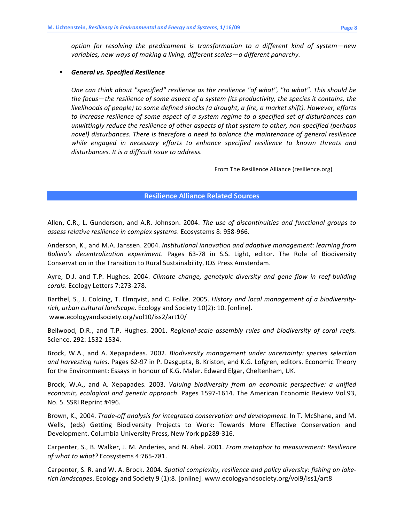*option
 for
 resolving
 the
 predicament
 is
 transformation to
 a
 different
 kind
 of
 system—new*  variables, new ways of making a living, different scales-a different panarchy.

### • *General
vs.
Specified
Resilience*

One can think about "specified" resilience as the resilience "of what", "to what". This should be the focus—the resilience of some aspect of a system (its productivity, the species it contains, the livelihoods of people) to some defined shocks (a drought, a fire, a market shift). However, efforts to increase resilience of some aspect of a system regime to a specified set of disturbances can unwittingly reduce the resilience of other aspects of that system to other, non-specified (perhaps novel) disturbances. There is therefore a need to balance the maintenance of general resilience while engaged in necessary efforts to enhance specified resilience to known threats and disturbances. It is a difficult issue to address.

From
The
Resilience
Alliance
(resilience.org)

### **Resilience
Alliance
Related
Sources**

Allen, C.R., L. Gunderson, and A.R. Johnson. 2004. The use of discontinuities and functional groups to assess relative resilience in complex systems. Ecosystems 8: 958-966.

Anderson, K., and M.A. Janssen. 2004. *Institutional innovation and adaptive management: learning from* Bolivia's decentralization experiment. Pages 63-78 in S.S. Light, editor. The Role of Biodiversity Conservation
in
the
Transition
to
Rural
Sustainability,
IOS
Press
Amsterdam.

Ayre, D.J. and T.P. Hughes. 2004. Climate change, genotypic diversity and gene flow in reef-building *corals*.
Ecology
Letters
7:273‐278.

Barthel, S., J. Colding, T. Elmqvist, and C. Folke. 2005. *History and local management of a biodiversity*rich, urban cultural landscape. Ecology and Society 10(2): 10. [online]. www.ecologyandsociety.org/vol10/iss2/art10/

Bellwood, D.R., and T.P. Hughes. 2001. Regional-scale assembly rules and biodiversity of coral reefs. Science.
292:
1532‐1534.

Brock, W.A., and A. Xepapadeas. 2002. *Biodiversity management under uncertainty: species selection* and harvesting rules. Pages 62-97 in P. Dasgupta, B. Kriston, and K.G. Lofgren, editors. Economic Theory for the Environment: Essays in honour of K.G. Maler. Edward Elgar, Cheltenham, UK.

Brock, W.A., and A. Xepapades. 2003. *Valuing biodiversity from an economic perspective: a unified* economic, ecological and genetic approach. Pages 1597-1614. The American Economic Review Vol.93, No.
5.
SSRI
Reprint
#496.

Brown, K., 2004. Trade-off analysis for integrated conservation and development. In T. McShane, and M. Wells, (eds) Getting Biodiversity Projects to Work: Towards More Effective Conservation and Development.
Columbia
University
Press,
New
York
pp289‐316.

Carpenter, S.,
B.
Walker,
J.
M.
Anderies,
and
N.
Abel.
2001. *From
metaphor
to
measurement:
Resilience of
what
to
what?*Ecosystems
4:765‐781.

Carpenter, S. R. and W. A. Brock. 2004. Spatial complexity, resilience and policy diversity: fishing on lakerich landscapes. Ecology and Society 9 (1):8. [online]. www.ecologyandsociety.org/vol9/iss1/art8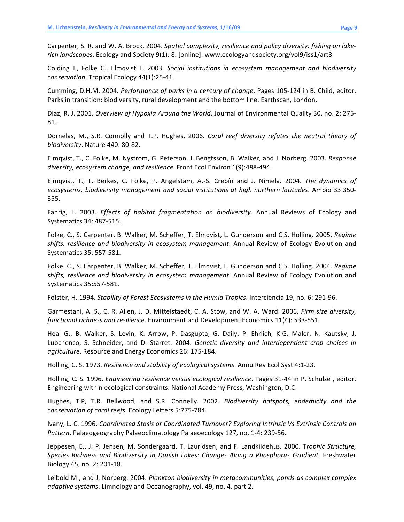Carpenter, S. R. and W. A. Brock. 2004. Spatial complexity, resilience and policy diversity: fishing on lakerich landscapes. Ecology and Society 9(1): 8. [online]. www.ecologyandsociety.org/vol9/iss1/art8

Colding J., Folke C., Elmqvist T. 2003. Social institutions in ecosystem management and biodiversity *conservation*.
Tropical
Ecology
44(1):25‐41.

Cumming, D.H.M. 2004. Performance of parks in a century of change. Pages 105-124 in B. Child, editor. Parks in transition: biodiversity, rural development and the bottom line. Earthscan, London.

Diaz, R. J. 2001. *Overview of Hypoxia Around the World*. Journal of Environmental Quality 30, no. 2: 275-81.

Dornelas, M., S.R. Connolly and T.P. Hughes. 2006. Coral reef diversity refutes the neutral theory of *biodiversity*.
Nature
440:
80‐82.

Elmqvist, T., C. Folke, M. Nystrom, G. Peterson, J. Bengtsson, B. Walker, and J. Norberg. 2003. Response diversity, ecosystem change, and resilience. Front Ecol Environ 1(9):488-494.

Elmqvist, T., F. Berkes, C. Folke, P. Angelstam, A.-S. Crepín and J. Nimelä. 2004. The dynamics of *ecosystems,
biodiversity
management
and
social
institutions
at
high
northern
latitudes*.
Ambio
33:350‐ 355.

Fahrig, L. 2003. *Effects of habitat fragmentation on biodiversity*. Annual Reviews of Ecology and Systematics
34:
487‐515.

Folke, C., S. Carpenter, B. Walker, M. Scheffer, T. Elmqvist, L. Gunderson and C.S. Holling. 2005. Regime shifts, resilience and biodiversity in ecosystem management. Annual Review of Ecology Evolution and Systematics
35:
557‐581.

Folke, C., S. Carpenter, B. Walker, M. Scheffer, T. Elmqvist, L. Gunderson and C.S. Holling. 2004. Regime shifts, resilience and biodiversity in ecosystem management. Annual Review of Ecology Evolution and Systematics
35:557‐581.

Folster, H. 1994. Stability of Forest Ecosystems in the Humid Tropics. Interciencia 19, no. 6: 291-96.

Garmestani, A. S., C. R. Allen, J. D. Mittelstaedt, C. A. Stow, and W. A. Ward. 2006. Firm size diversity, functional richness and resilience. Environment and Development Economics 11(4): 533-551.

Heal G., B. Walker, S. Levin, K. Arrow, P. Dasgupta, G. Daily, P. Ehrlich, K-G. Maler, N. Kautsky, J. Lubchenco, S. Schneider, and D. Starret. 2004. Genetic diversity and interdependent crop choices in agriculture. Resource and Energy Economics 26: 175-184.

Holling, C. S. 1973. Resilience and stability of ecological systems. Annu Rev Ecol Syst 4:1-23.

Holling, C. S. 1996. *Engineering resilience versus ecological resilience*. Pages 31-44 in P. Schulze, editor. Engineering
within
ecological
constraints.
National
Academy
Press,
Washington,
D.C.

Hughes, T.P, T.R. Bellwood, and S.R. Connelly. 2002. Biodiversity hotspots, endemicity and the *conservation
of
coral
reefs*.
Ecology
Letters
5:775‐784.

Ivany,
L.
C.
1996. *Coordinated
Stasis
or
Coordinated
Turnover?
Exploring
Intrinsic
Vs
Extrinsic
Controls
on*  Pattern. Palaeogeography Palaeoclimatology Palaeoecology 127, no. 1-4: 239-56.

Jeppesen, E., J. P. Jensen, M. Sondergaard, T. Lauridsen, and F. Landkildehus. 2000. Trophic Structure, *Species
 Richness
 and
 Biodiversity
 in
 Danish
 Lakes:
 Changes
 Along
 a
 Phosphorus
 Gradient*.
 Freshwater Biology
45,
no.
2:
201‐18.

Leibold M., and J. Norberg. 2004. Plankton biodiversity in metacommunities, ponds as complex complex adaptive systems. Limnology and Oceanography, vol. 49, no. 4, part 2.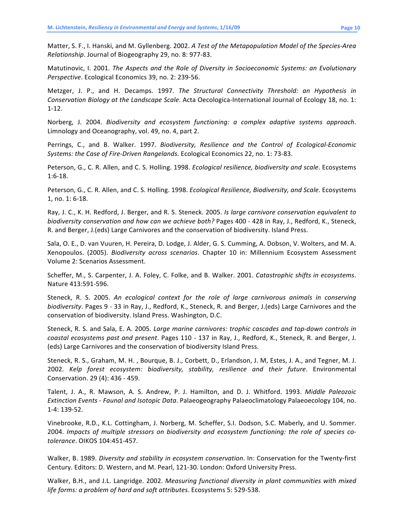Matter, S. F., I. Hanski, and M. Gyllenberg. 2002. A Test of the Metapopulation Model of the Species-Area *Relationship*.
Journal
of
Biogeography
29,
no.
8:
977‐83.

Matutinovic, I. 2001. The Aspects and the Role of Diversity in Socioeconomic Systems: an Evolutionary Perspective. Ecological Economics 39, no. 2: 239-56.

Metzger, J. P., and H. Decamps. 1997. The Structural Connectivity Threshold: an Hypothesis in Conservation Biology at the Landscape Scale. Acta Oecologica-International Journal of Ecology 18, no. 1: 1‐12.

Norberg, J. 2004. Biodiversity and ecosystem functioning: a complex adaptive systems approach. Limnology
and
Oceanography,
vol.
49,
no.
4,
part
2.

Perrings, C., and B. Walker. 1997. Biodiversity, Resilience and the Control of Ecological-Economic *Systems:
the
Case
of
Fire‐Driven
Rangelands*.
Ecological
Economics
22,
no.
1:
73‐83.

Peterson, G., C. R. Allen, and C. S. Holling. 1998. *Ecological resilience, biodiversity and scale*. Ecosystems 1:6‐18.

Peterson, G., C. R. Allen, and C. S. Holling. 1998. *Ecological Resilience, Biodiversity, and Scale*. Ecosystems 1,
no.
1:
6‐18.

Ray, J. C., K. H. Redford, J. Berger, and R. S. Steneck. 2005. *Is large carnivore conservation equivalent to* biodiversity conservation and how can we achieve both? Pages 400 - 428 in Ray, J., Redford, K., Steneck, R.
and
Berger,
J.(eds)
Large
Carnivores
and
the
conservation
of
biodiversity.
Island
Press.

Sala, O. E., D. van Vuuren, H. Pereira, D. Lodge, J. Alder, G. S. Cumming, A. Dobson, V. Wolters, and M. A. Xenopoulos.
 (2005). *Biodiversity
 across
 scenarios*.
 Chapter
 10
 in:
 Millennium
 Ecosystem
 Assessment Volume
2:
Scenarios
Assessment.

Scheffer, M., S. Carpenter, J. A. Foley, C. Folke, and B. Walker. 2001. Catastrophic shifts in ecosystems. Nature
413:591‐596.

Steneck, R. S. 2005. An ecological context for the role of large carnivorous animals in conserving biodiversity. Pages 9 - 33 in Ray, J., Redford, K., Steneck, R. and Berger, J. (eds) Large Carnivores and the conservation
of
biodiversity.
Island
Press.
Washington,
D.C.

Steneck, R. S. and Sala, E. A. 2005. Large marine carnivores: trophic cascades and top-down controls in coastal ecosystems past and present. Pages 110 - 137 in Ray, J., Redford, K., Steneck, R. and Berger, J. (eds)
Large
Carnivores
and
the
conservation
of
biodiversity
Island
Press.

Steneck, R. S., Graham, M. H., Bourque, B. J., Corbett, D., Erlandson, J. M, Estes, J. A., and Tegner, M. J. 2002. *Kelp
 forest
 ecosystem:
 biodiversity,
 stability,
 resilience
 and
 their
 future*.
 Environmental Conservation.
29
(4):
436
‐
459.

Talent, J. A., R. Mawson, A. S. Andrew, P. J. Hamilton, and D. J. Whitford. 1993. Middle Paleozoic Extinction Events - Faunal and Isotopic Data. Palaeogeography Palaeoclimatology Palaeoecology 104, no. 1‐4:
139‐52.

Vinebrooke, R.D., K.L. Cottingham, J. Norberg, M. Scheffer, S.I. Dodson, S.C. Maberly, and U. Sommer. 2004. *Impacts
 of
 multiple
 stressors
 on
 biodiversity
 and
 ecosystem
 functioning:
 the
 role
 of
 species
 co‐ tolerance*.
OIKOS
104:451‐457.

Walker, B. 1989. Diversity and stability in ecosystem conservation. In: Conservation for the Twenty-first Century.
Editors:
D.
Western,
and
M.
Pearl,
121‐30.
London:
Oxford
University
Press.

Walker, B.H., and J.L. Langridge. 2002. Measuring functional diversity in plant communities with mixed *life
forms:
a
problem
of
hard
and
soft
attributes*.
Ecosystems
5:
529‐538.